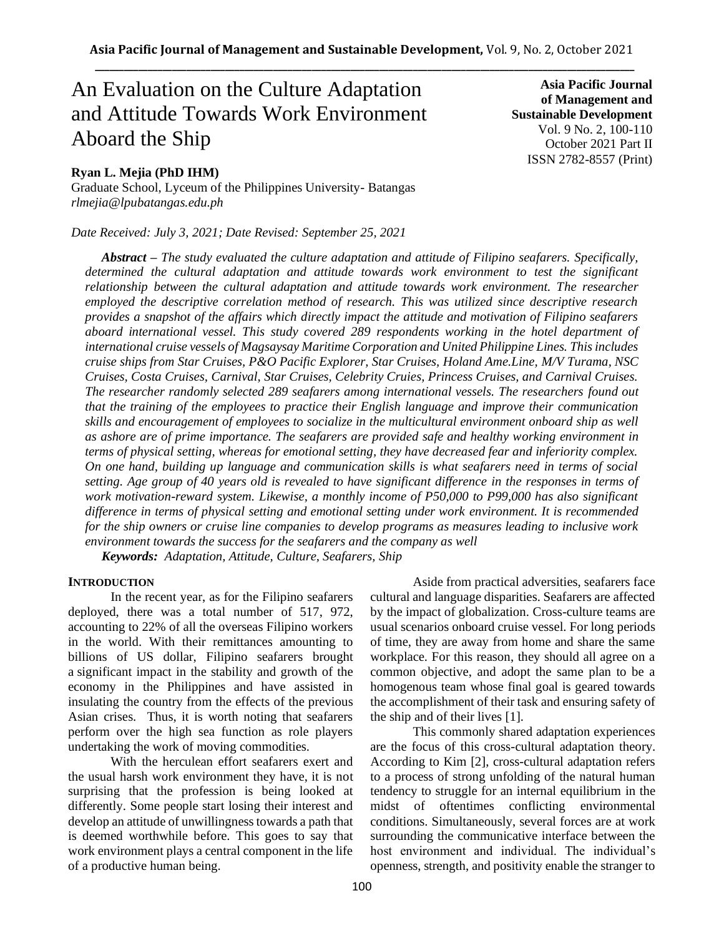# An Evaluation on the Culture Adaptation and Attitude Towards Work Environment Aboard the Ship

# **Ryan L. Mejia (PhD IHM)**

Graduate School, Lyceum of the Philippines University- Batangas *rlmejia@lpubatangas.edu.ph*

*Date Received: July 3, 2021; Date Revised: September 25, 2021*

**Asia Pacific Journal of Management and Sustainable Development**  Vol. 9 No. 2, 100-110 October 2021 Part II ISSN 2782-8557 (Print)

*Abstract – The study evaluated the culture adaptation and attitude of Filipino seafarers. Specifically, determined the cultural adaptation and attitude towards work environment to test the significant relationship between the cultural adaptation and attitude towards work environment. The researcher employed the descriptive correlation method of research. This was utilized since descriptive research provides a snapshot of the affairs which directly impact the attitude and motivation of Filipino seafarers aboard international vessel. This study covered 289 respondents working in the hotel department of international cruise vessels of Magsaysay Maritime Corporation and United Philippine Lines. This includes cruise ships from Star Cruises, P&O Pacific Explorer, Star Cruises, Holand Ame.Line, M/V Turama, NSC Cruises, Costa Cruises, Carnival, Star Cruises, Celebrity Cruies, Princess Cruises, and Carnival Cruises. The researcher randomly selected 289 seafarers among international vessels. The researchers found out that the training of the employees to practice their English language and improve their communication skills and encouragement of employees to socialize in the multicultural environment onboard ship as well as ashore are of prime importance. The seafarers are provided safe and healthy working environment in terms of physical setting, whereas for emotional setting, they have decreased fear and inferiority complex. On one hand, building up language and communication skills is what seafarers need in terms of social setting. Age group of 40 years old is revealed to have significant difference in the responses in terms of work motivation-reward system. Likewise, a monthly income of P50,000 to P99,000 has also significant difference in terms of physical setting and emotional setting under work environment. It is recommended for the ship owners or cruise line companies to develop programs as measures leading to inclusive work environment towards the success for the seafarers and the company as well*

*Keywords: Adaptation, Attitude, Culture, Seafarers, Ship*

## **INTRODUCTION**

In the recent year, as for the Filipino seafarers deployed, there was a total number of 517, 972, accounting to 22% of all the overseas Filipino workers in the world. With their remittances amounting to billions of US dollar, Filipino seafarers brought a significant impact in the stability and growth of the economy in the Philippines and have assisted in insulating the country from the effects of the previous Asian crises. Thus, it is worth noting that seafarers perform over the high sea function as role players undertaking the work of moving commodities.

With the herculean effort seafarers exert and the usual harsh work environment they have, it is not surprising that the profession is being looked at differently. Some people start losing their interest and develop an attitude of unwillingness towards a path that is deemed worthwhile before. This goes to say that work environment plays a central component in the life of a productive human being.

Aside from practical adversities, seafarers face cultural and language disparities. Seafarers are affected by the impact of globalization. Cross-culture teams are usual scenarios onboard cruise vessel. For long periods of time, they are away from home and share the same workplace. For this reason, they should all agree on a common objective, and adopt the same plan to be a homogenous team whose final goal is geared towards the accomplishment of their task and ensuring safety of the ship and of their lives [1].

This commonly shared adaptation experiences are the focus of this cross-cultural adaptation theory. According to Kim [2], cross-cultural adaptation refers to a process of strong unfolding of the natural human tendency to struggle for an internal equilibrium in the midst of oftentimes conflicting environmental conditions. Simultaneously, several forces are at work surrounding the communicative interface between the host environment and individual. The individual's openness, strength, and positivity enable the stranger to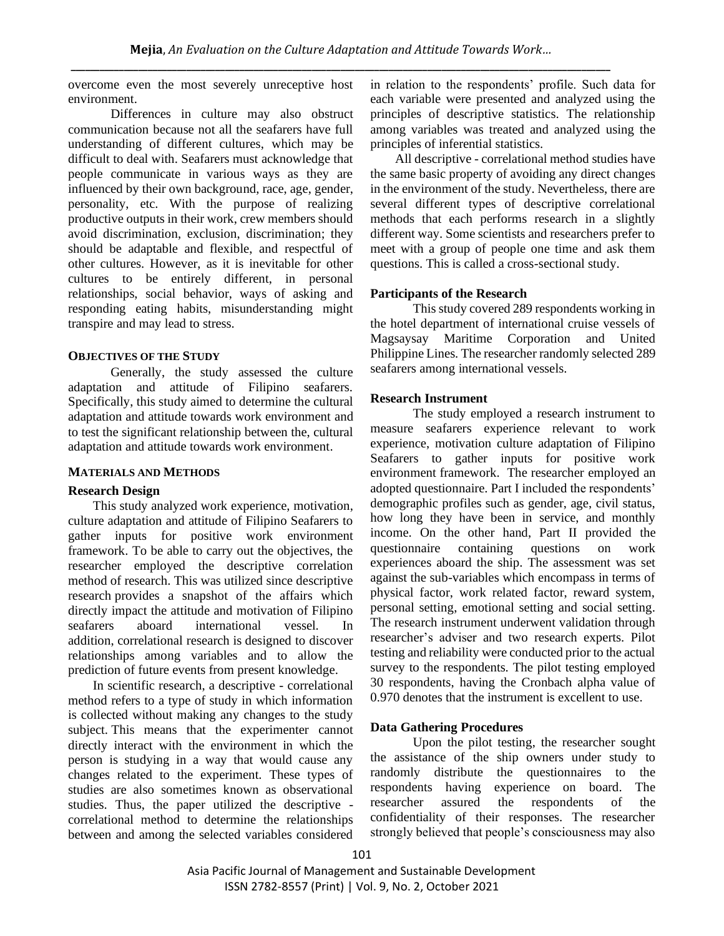overcome even the most severely unreceptive host environment.

Differences in culture may also obstruct communication because not all the seafarers have full understanding of different cultures, which may be difficult to deal with. Seafarers must acknowledge that people communicate in various ways as they are influenced by their own background, race, age, gender, personality, etc. With the purpose of realizing productive outputs in their work, crew members should avoid discrimination, exclusion, discrimination; they should be adaptable and flexible, and respectful of other cultures. However, as it is inevitable for other cultures to be entirely different, in personal relationships, social behavior, ways of asking and responding eating habits, misunderstanding might transpire and may lead to stress.

## **OBJECTIVES OF THE STUDY**

Generally, the study assessed the culture adaptation and attitude of Filipino seafarers. Specifically, this study aimed to determine the cultural adaptation and attitude towards work environment and to test the significant relationship between the, cultural adaptation and attitude towards work environment.

### **MATERIALS AND METHODS**

## **Research Design**

This study analyzed work experience, motivation, culture adaptation and attitude of Filipino Seafarers to gather inputs for positive work environment framework. To be able to carry out the objectives, the researcher employed the descriptive correlation method of research. This was utilized since descriptive research provides a snapshot of the affairs which directly impact the attitude and motivation of Filipino seafarers aboard international vessel*.* In addition, correlational research is designed to discover relationships among variables and to allow the prediction of future events from present knowledge*.* 

In scientific research, a descriptive - correlational method refers to a type of study in which information is collected without making any changes to the study subject. This means that the experimenter cannot directly interact with the environment in which the person is studying in a way that would cause any changes related to the experiment. These types of studies are also sometimes known as observational studies. Thus, the paper utilized the descriptive correlational method to determine the relationships between and among the selected variables considered

in relation to the respondents' profile. Such data for each variable were presented and analyzed using the principles of descriptive statistics. The relationship among variables was treated and analyzed using the principles of inferential statistics.

All descriptive - correlational method studies have the same basic property of avoiding any direct changes in the environment of the study. Nevertheless, there are several different types of descriptive correlational methods that each performs research in a slightly different way. Some scientists and researchers prefer to meet with a group of people one time and ask them questions. This is called a cross-sectional study.

## **Participants of the Research**

This study covered 289 respondents working in the hotel department of international cruise vessels of Magsaysay Maritime Corporation and United Philippine Lines. The researcher randomly selected 289 seafarers among international vessels.

## **Research Instrument**

The study employed a research instrument to measure seafarers experience relevant to work experience, motivation culture adaptation of Filipino Seafarers to gather inputs for positive work environment framework. The researcher employed an adopted questionnaire. Part I included the respondents' demographic profiles such as gender, age, civil status, how long they have been in service, and monthly income. On the other hand, Part II provided the questionnaire containing questions on work experiences aboard the ship. The assessment was set against the sub-variables which encompass in terms of physical factor, work related factor, reward system, personal setting, emotional setting and social setting. The research instrument underwent validation through researcher's adviser and two research experts. Pilot testing and reliability were conducted prior to the actual survey to the respondents. The pilot testing employed 30 respondents, having the Cronbach alpha value of 0.970 denotes that the instrument is excellent to use.

## **Data Gathering Procedures**

Upon the pilot testing, the researcher sought the assistance of the ship owners under study to randomly distribute the questionnaires to the respondents having experience on board. The researcher assured the respondents of the confidentiality of their responses. The researcher strongly believed that people's consciousness may also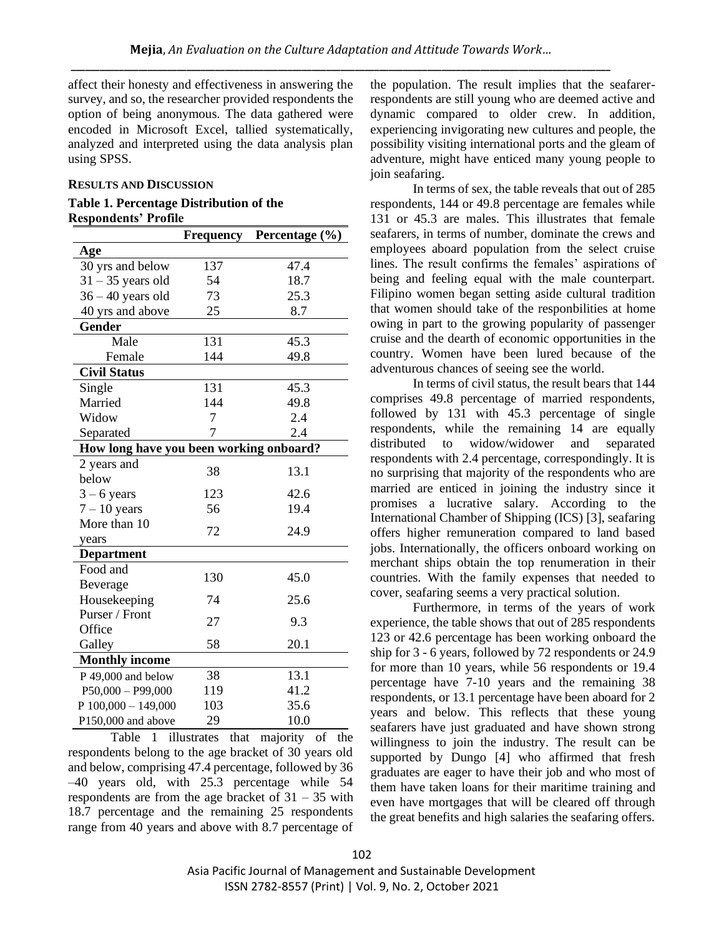affect their honesty and effectiveness in answering the survey, and so, the researcher provided respondents the option of being anonymous. The data gathered were encoded in Microsoft Excel, tallied systematically, analyzed and interpreted using the data analysis plan using SPSS.

### **RESULTS AND DISCUSSION**

## **Table 1. Percentage Distribution of the Respondents' Profile**

|                                         | Frequency | <b>Percentage</b> $(\%)$ |
|-----------------------------------------|-----------|--------------------------|
| Age                                     |           |                          |
| 30 yrs and below                        | 137       | 47.4                     |
| $31 - 35$ years old                     | 54        | 18.7                     |
| $36 - 40$ years old                     | 73        | 25.3                     |
| 40 yrs and above                        | 25        | 8.7                      |
| Gender                                  |           |                          |
| Male                                    | 131       | 45.3                     |
| Female                                  | 144       | 49.8                     |
| <b>Civil Status</b>                     |           |                          |
| Single                                  | 131       | 45.3                     |
| Married                                 | 144       | 49.8                     |
| Widow                                   | 7         | 2.4                      |
| Separated                               | 7         | 2.4                      |
| How long have you been working onboard? |           |                          |
| 2 years and                             | 38        | 13.1                     |
| below                                   |           |                          |
| $3 - 6$ years                           | 123       | 42.6                     |
| $7 - 10$ years                          | 56        | 19.4                     |
| More than 10                            | 72        | 24.9                     |
| years                                   |           |                          |
| <b>Department</b>                       |           |                          |
| Food and                                | 130       | 45.0                     |
| Beverage                                |           |                          |
| Housekeeping                            | 74        | 25.6                     |
| Purser / Front                          | 27        | 9.3                      |
| Office                                  |           |                          |
| Galley                                  | 58        | 20.1                     |
| <b>Monthly income</b>                   |           |                          |
| P 49,000 and below                      | 38        | 13.1                     |
| $P50,000 - P99,000$                     | 119       | 41.2                     |
| P $100,000 - 149,000$                   | 103       | 35.6                     |
| P150,000 and above                      | 29        | 10.0                     |

Table 1 illustrates that majority of the respondents belong to the age bracket of 30 years old and below, comprising 47.4 percentage, followed by 36 –40 years old, with 25.3 percentage while 54 respondents are from the age bracket of 31 – 35 with 18.7 percentage and the remaining 25 respondents range from 40 years and above with 8.7 percentage of the population. The result implies that the seafarerrespondents are still young who are deemed active and dynamic compared to older crew. In addition, experiencing invigorating new cultures and people, the possibility visiting international ports and the gleam of adventure, might have enticed many young people to join seafaring.

In terms of sex, the table reveals that out of 285 respondents, 144 or 49.8 percentage are females while 131 or 45.3 are males. This illustrates that female seafarers, in terms of number, dominate the crews and employees aboard population from the select cruise lines. The result confirms the females' aspirations of being and feeling equal with the male counterpart. Filipino women began setting aside cultural tradition that women should take of the responbilities at home owing in part to the growing popularity of passenger cruise and the dearth of economic opportunities in the country. Women have been lured because of the adventurous chances of seeing see the world.

In terms of civil status, the result bears that 144 comprises 49.8 percentage of married respondents, followed by 131 with 45.3 percentage of single respondents, while the remaining 14 are equally distributed to widow/widower and separated respondents with 2.4 percentage, correspondingly. It is no surprising that majority of the respondents who are married are enticed in joining the industry since it promises a lucrative salary. According to the International Chamber of Shipping (ICS) [3], seafaring offers higher remuneration compared to land based jobs. Internationally, the officers onboard working on merchant ships obtain the top renumeration in their countries. With the family expenses that needed to cover, seafaring seems a very practical solution.

Furthermore, in terms of the years of work experience, the table shows that out of 285 respondents 123 or 42.6 percentage has been working onboard the ship for 3 - 6 years, followed by 72 respondents or 24.9 for more than 10 years, while 56 respondents or 19.4 percentage have 7-10 years and the remaining 38 respondents, or 13.1 percentage have been aboard for 2 years and below. This reflects that these young seafarers have just graduated and have shown strong willingness to join the industry. The result can be supported by Dungo [4] who affirmed that fresh graduates are eager to have their job and who most of them have taken loans for their maritime training and even have mortgages that will be cleared off through the great benefits and high salaries the seafaring offers.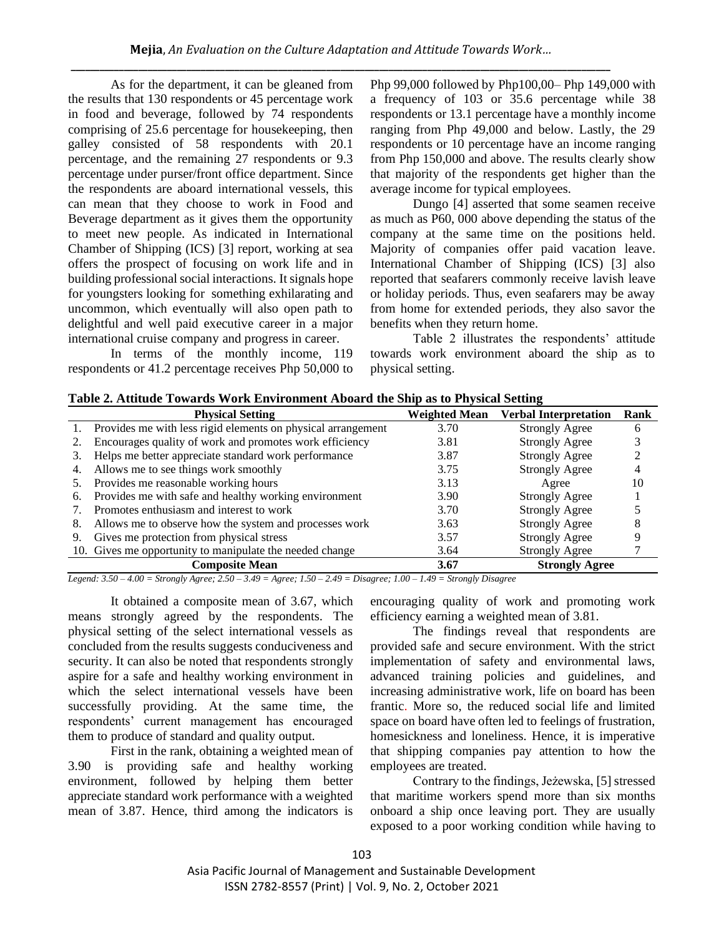As for the department, it can be gleaned from the results that 130 respondents or 45 percentage work in food and beverage, followed by 74 respondents comprising of 25.6 percentage for housekeeping, then galley consisted of 58 respondents with 20.1 percentage, and the remaining 27 respondents or 9.3 percentage under purser/front office department. Since the respondents are aboard international vessels, this can mean that they choose to work in Food and Beverage department as it gives them the opportunity to meet new people. As indicated in International Chamber of Shipping (ICS) [3] report, working at sea offers the prospect of focusing on work life and in building professional social interactions. It signals hope for youngsters looking for something exhilarating and uncommon, which eventually will also open path to delightful and well paid executive career in a major international cruise company and progress in career.

In terms of the monthly income, 119 respondents or 41.2 percentage receives Php 50,000 to Php 99,000 followed by Php100,00– Php 149,000 with a frequency of 103 or 35.6 percentage while 38 respondents or 13.1 percentage have a monthly income ranging from Php 49,000 and below. Lastly, the 29 respondents or 10 percentage have an income ranging from Php 150,000 and above. The results clearly show that majority of the respondents get higher than the average income for typical employees.

Dungo [4] asserted that some seamen receive as much as P60, 000 above depending the status of the company at the same time on the positions held. Majority of companies offer paid vacation leave. International Chamber of Shipping (ICS) [3] also reported that seafarers commonly receive lavish leave or holiday periods. Thus, even seafarers may be away from home for extended periods, they also savor the benefits when they return home.

Table 2 illustrates the respondents' attitude towards work environment aboard the ship as to physical setting.

|  | Table 2. Attitude Towards Work Environment Aboard the Ship as to Physical Setting |  |
|--|-----------------------------------------------------------------------------------|--|
|  |                                                                                   |  |

|    | <b>Physical Setting</b>                                      | <b>Weighted Mean</b> | <b>Verbal Interpretation</b> | Rank |
|----|--------------------------------------------------------------|----------------------|------------------------------|------|
|    | Provides me with less rigid elements on physical arrangement | 3.70                 | <b>Strongly Agree</b>        |      |
|    | Encourages quality of work and promotes work efficiency      | 3.81                 | <b>Strongly Agree</b>        |      |
|    | Helps me better appreciate standard work performance         | 3.87                 | <b>Strongly Agree</b>        |      |
| 4. | Allows me to see things work smoothly                        | 3.75                 | <b>Strongly Agree</b>        |      |
|    | Provides me reasonable working hours                         | 3.13                 | Agree                        | 10   |
| 6. | Provides me with safe and healthy working environment        | 3.90                 | <b>Strongly Agree</b>        |      |
|    | Promotes enthusiasm and interest to work                     | 3.70                 | <b>Strongly Agree</b>        |      |
| 8. | Allows me to observe how the system and processes work       | 3.63                 | <b>Strongly Agree</b>        |      |
| 9. | Gives me protection from physical stress                     | 3.57                 | <b>Strongly Agree</b>        |      |
|    | 10. Gives me opportunity to manipulate the needed change     | 3.64                 | <b>Strongly Agree</b>        |      |
|    | <b>Composite Mean</b>                                        | 3.67                 | <b>Strongly Agree</b>        |      |

*Legend: 3.50 – 4.00 = Strongly Agree; 2.50 – 3.49 = Agree; 1.50 – 2.49 = Disagree; 1.00 – 1.49 = Strongly Disagree*

It obtained a composite mean of 3.67, which means strongly agreed by the respondents. The physical setting of the select international vessels as concluded from the results suggests conduciveness and security. It can also be noted that respondents strongly aspire for a safe and healthy working environment in which the select international vessels have been successfully providing. At the same time, the respondents' current management has encouraged them to produce of standard and quality output.

First in the rank, obtaining a weighted mean of 3.90 is providing safe and healthy working environment, followed by helping them better appreciate standard work performance with a weighted mean of 3.87. Hence, third among the indicators is encouraging quality of work and promoting work efficiency earning a weighted mean of 3.81.

The findings reveal that respondents are provided safe and secure environment. With the strict implementation of safety and environmental laws, advanced training policies and guidelines, and increasing administrative work, life on board has been frantic. More so, the reduced social life and limited space on board have often led to feelings of frustration, homesickness and loneliness. Hence, it is imperative that shipping companies pay attention to how the employees are treated.

Contrary to the findings, Jeżewska, [5] stressed that maritime workers spend more than six months onboard a ship once leaving port. They are usually exposed to a poor working condition while having to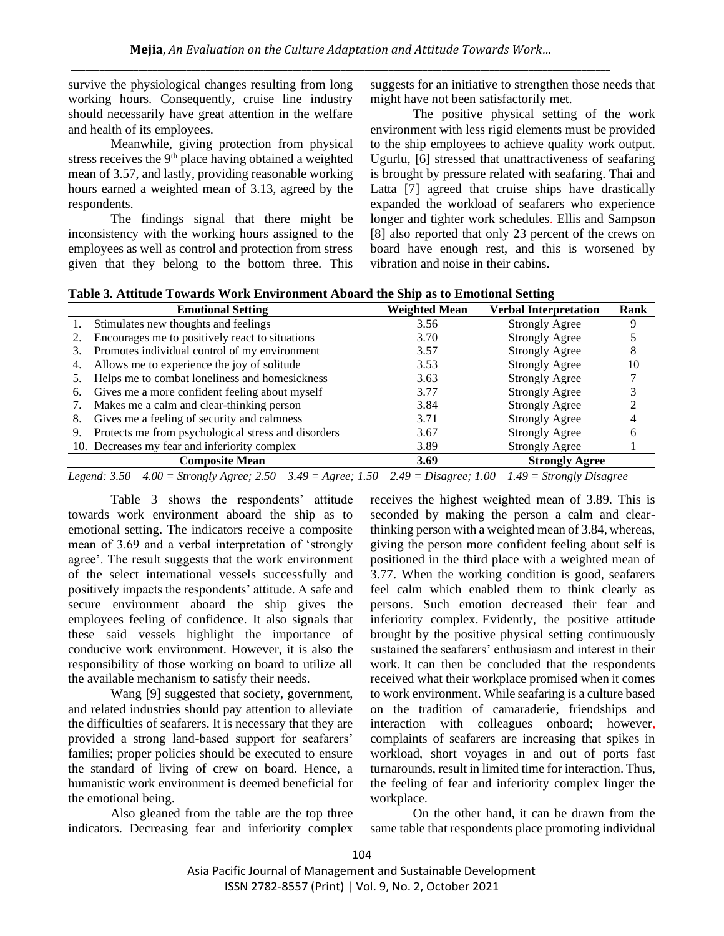survive the physiological changes resulting from long working hours. Consequently, cruise line industry should necessarily have great attention in the welfare and health of its employees.

Meanwhile, giving protection from physical stress receives the 9th place having obtained a weighted mean of 3.57, and lastly, providing reasonable working hours earned a weighted mean of 3.13, agreed by the respondents.

The findings signal that there might be inconsistency with the working hours assigned to the employees as well as control and protection from stress given that they belong to the bottom three. This suggests for an initiative to strengthen those needs that might have not been satisfactorily met.

The positive physical setting of the work environment with less rigid elements must be provided to the ship employees to achieve quality work output. Ugurlu, [6] stressed that unattractiveness of seafaring is brought by pressure related with seafaring. Thai and Latta [7] agreed that cruise ships have drastically expanded the workload of seafarers who experience longer and tighter work schedules. Ellis and Sampson [8] also reported that only 23 percent of the crews on board have enough rest, and this is worsened by vibration and noise in their cabins.

|                                                 | <b>Emotional Setting</b>                            | Weighted Mean | <b>Verbal Interpretation</b> | Rank         |
|-------------------------------------------------|-----------------------------------------------------|---------------|------------------------------|--------------|
|                                                 | Stimulates new thoughts and feelings                | 3.56          | <b>Strongly Agree</b>        |              |
|                                                 | Encourages me to positively react to situations     | 3.70          | <b>Strongly Agree</b>        |              |
| 3.                                              | Promotes individual control of my environment       | 3.57          | <b>Strongly Agree</b>        |              |
| 4.                                              | Allows me to experience the joy of solitude         | 3.53          | <b>Strongly Agree</b>        | 10           |
|                                                 | Helps me to combat loneliness and homesickness      | 3.63          | <b>Strongly Agree</b>        |              |
| 6.                                              | Gives me a more confident feeling about myself      | 3.77          | <b>Strongly Agree</b>        |              |
| Makes me a calm and clear-thinking person<br>7. |                                                     | 3.84          | <b>Strongly Agree</b>        |              |
| 8.                                              | Gives me a feeling of security and calmness         | 3.71          | <b>Strongly Agree</b>        |              |
| 9.                                              | Protects me from psychological stress and disorders | 3.67          | <b>Strongly Agree</b>        | <sub>b</sub> |
|                                                 | 10. Decreases my fear and inferiority complex       | 3.89          | <b>Strongly Agree</b>        |              |
|                                                 | <b>Composite Mean</b>                               | 3.69          | <b>Strongly Agree</b>        |              |

**Table 3. Attitude Towards Work Environment Aboard the Ship as to Emotional Setting**

*Legend: 3.50 – 4.00 = Strongly Agree; 2.50 – 3.49 = Agree; 1.50 – 2.49 = Disagree; 1.00 – 1.49 = Strongly Disagree*

Table 3 shows the respondents' attitude towards work environment aboard the ship as to emotional setting. The indicators receive a composite mean of 3.69 and a verbal interpretation of 'strongly agree'. The result suggests that the work environment of the select international vessels successfully and positively impacts the respondents' attitude. A safe and secure environment aboard the ship gives the employees feeling of confidence. It also signals that these said vessels highlight the importance of conducive work environment. However, it is also the responsibility of those working on board to utilize all the available mechanism to satisfy their needs.

Wang [9] suggested that society, government, and related industries should pay attention to alleviate the difficulties of seafarers. It is necessary that they are provided a strong land-based support for seafarers' families; proper policies should be executed to ensure the standard of living of crew on board. Hence, a humanistic work environment is deemed beneficial for the emotional being.

Also gleaned from the table are the top three indicators. Decreasing fear and inferiority complex receives the highest weighted mean of 3.89. This is seconded by making the person a calm and clearthinking person with a weighted mean of 3.84, whereas, giving the person more confident feeling about self is positioned in the third place with a weighted mean of 3.77. When the working condition is good, seafarers feel calm which enabled them to think clearly as persons. Such emotion decreased their fear and inferiority complex. Evidently, the positive attitude brought by the positive physical setting continuously sustained the seafarers' enthusiasm and interest in their work. It can then be concluded that the respondents received what their workplace promised when it comes to work environment. While seafaring is a culture based on the tradition of camaraderie, friendships and interaction with colleagues onboard; however, complaints of seafarers are increasing that spikes in workload, short voyages in and out of ports fast turnarounds, result in limited time for interaction. Thus, the feeling of fear and inferiority complex linger the workplace.

On the other hand, it can be drawn from the same table that respondents place promoting individual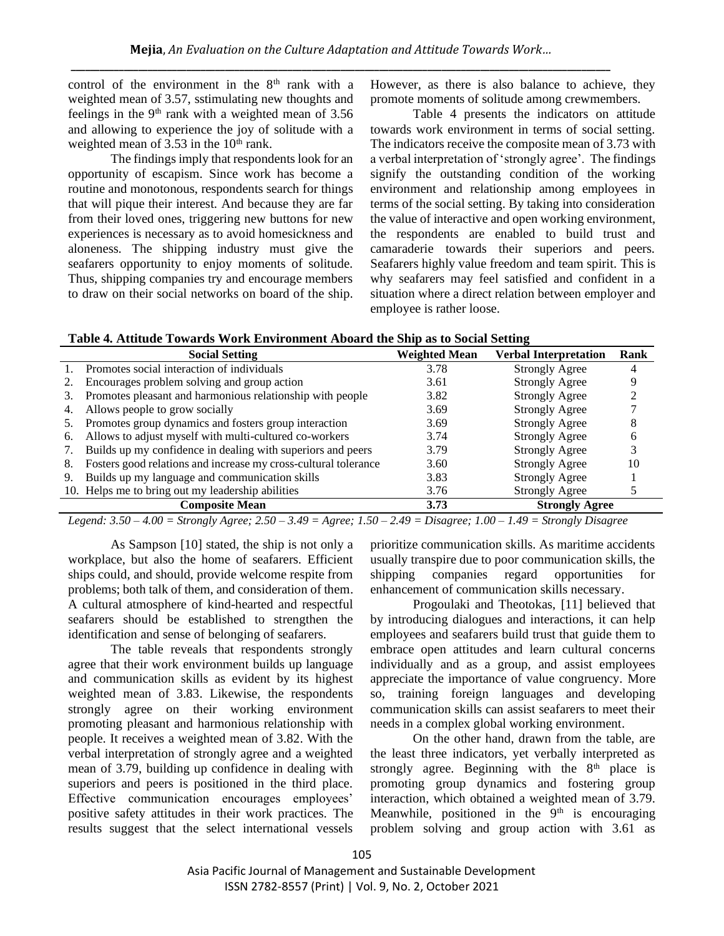control of the environment in the  $8<sup>th</sup>$  rank with a weighted mean of 3.57, sstimulating new thoughts and feelings in the  $9<sup>th</sup>$  rank with a weighted mean of 3.56 and allowing to experience the joy of solitude with a weighted mean of  $3.53$  in the  $10<sup>th</sup>$  rank.

The findings imply that respondents look for an opportunity of escapism. Since work has become a routine and monotonous, respondents search for things that will pique their interest. And because they are far from their loved ones, triggering new buttons for new experiences is necessary as to avoid homesickness and aloneness. The shipping industry must give the seafarers opportunity to enjoy moments of solitude. Thus, shipping companies try and encourage members to draw on their social networks on board of the ship. However, as there is also balance to achieve, they promote moments of solitude among crewmembers.

Table 4 presents the indicators on attitude towards work environment in terms of social setting. The indicators receive the composite mean of 3.73 with a verbal interpretation of 'strongly agree'. The findings signify the outstanding condition of the working environment and relationship among employees in terms of the social setting. By taking into consideration the value of interactive and open working environment, the respondents are enabled to build trust and camaraderie towards their superiors and peers. Seafarers highly value freedom and team spirit. This is why seafarers may feel satisfied and confident in a situation where a direct relation between employer and employee is rather loose.

| Table 4. Attitude Towards Work Environment Aboard the Ship as to Social Setting |  |  |  |
|---------------------------------------------------------------------------------|--|--|--|
|---------------------------------------------------------------------------------|--|--|--|

|                                                                         | <b>Social Setting</b>                                           | <b>Weighted Mean</b>          | <b>Verbal Interpretation</b> | Rank |
|-------------------------------------------------------------------------|-----------------------------------------------------------------|-------------------------------|------------------------------|------|
| Promotes social interaction of individuals<br>3.78                      |                                                                 | <b>Strongly Agree</b>         |                              |      |
| 2.                                                                      | Encourages problem solving and group action                     | 3.61                          | <b>Strongly Agree</b>        |      |
| Promotes pleasant and harmonious relationship with people<br>3.82<br>3. |                                                                 | <b>Strongly Agree</b>         |                              |      |
| 4.                                                                      | Allows people to grow socially                                  | 3.69                          | <b>Strongly Agree</b>        |      |
| 5.                                                                      | Promotes group dynamics and fosters group interaction           | 3.69                          | <b>Strongly Agree</b>        |      |
| 6.                                                                      | Allows to adjust myself with multi-cultured co-workers          | 3.74                          | <b>Strongly Agree</b>        |      |
| Builds up my confidence in dealing with superiors and peers<br>7.       |                                                                 | 3.79                          | <b>Strongly Agree</b>        |      |
| 8.                                                                      | Fosters good relations and increase my cross-cultural tolerance | <b>Strongly Agree</b><br>3.60 |                              | 10   |
| 9.                                                                      | Builds up my language and communication skills                  | 3.83                          | <b>Strongly Agree</b>        |      |
|                                                                         | 10. Helps me to bring out my leadership abilities               | 3.76                          | <b>Strongly Agree</b>        |      |
|                                                                         | <b>Composite Mean</b>                                           | 3.73                          | <b>Strongly Agree</b>        |      |

*Legend: 3.50 – 4.00 = Strongly Agree; 2.50 – 3.49 = Agree; 1.50 – 2.49 = Disagree; 1.00 – 1.49 = Strongly Disagree*

As Sampson [10] stated, the ship is not only a workplace, but also the home of seafarers. Efficient ships could, and should, provide welcome respite from problems; both talk of them, and consideration of them. A cultural atmosphere of kind-hearted and respectful seafarers should be established to strengthen the identification and sense of belonging of seafarers.

The table reveals that respondents strongly agree that their work environment builds up language and communication skills as evident by its highest weighted mean of 3.83. Likewise, the respondents strongly agree on their working environment promoting pleasant and harmonious relationship with people. It receives a weighted mean of 3.82. With the verbal interpretation of strongly agree and a weighted mean of 3.79, building up confidence in dealing with superiors and peers is positioned in the third place. Effective communication encourages employees' positive safety attitudes in their work practices. The results suggest that the select international vessels

prioritize communication skills. As maritime accidents usually transpire due to poor communication skills, the shipping companies regard opportunities for enhancement of communication skills necessary.

Progoulaki and Theotokas, [11] believed that by introducing dialogues and interactions, it can help employees and seafarers build trust that guide them to embrace open attitudes and learn cultural concerns individually and as a group, and assist employees appreciate the importance of value congruency. More so, training foreign languages and developing communication skills can assist seafarers to meet their needs in a complex global working environment.

On the other hand, drawn from the table, are the least three indicators, yet verbally interpreted as strongly agree. Beginning with the  $8<sup>th</sup>$  place is promoting group dynamics and fostering group interaction, which obtained a weighted mean of 3.79. Meanwhile, positioned in the  $9<sup>th</sup>$  is encouraging problem solving and group action with 3.61 as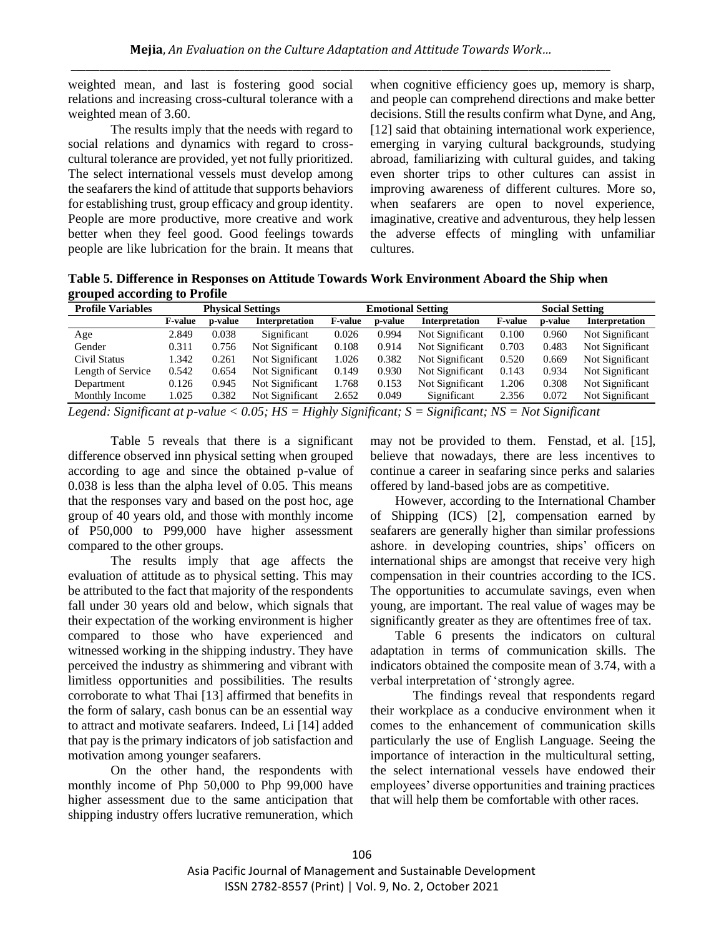weighted mean, and last is fostering good social relations and increasing cross-cultural tolerance with a weighted mean of 3.60.

The results imply that the needs with regard to social relations and dynamics with regard to crosscultural tolerance are provided, yet not fully prioritized. The select international vessels must develop among the seafarers the kind of attitude that supports behaviors for establishing trust, group efficacy and group identity. People are more productive, more creative and work better when they feel good. Good feelings towards people are like lubrication for the brain. It means that

when cognitive efficiency goes up, memory is sharp, and people can comprehend directions and make better decisions. Still the results confirm what Dyne, and Ang, [12] said that obtaining international work experience, emerging in varying cultural backgrounds, studying abroad, familiarizing with cultural guides, and taking even shorter trips to other cultures can assist in improving awareness of different cultures. More so, when seafarers are open to novel experience, imaginative, creative and adventurous, they help lessen the adverse effects of mingling with unfamiliar cultures.

**Table 5. Difference in Responses on Attitude Towards Work Environment Aboard the Ship when grouped according to Profile** 

| <b>Profile Variables</b>       | <b>Physical Settings</b>            |                | <b>Emotional Setting</b>                                       |                                                                                                         |               | <b>Social Setting</b>    |                 |              |                       |
|--------------------------------|-------------------------------------|----------------|----------------------------------------------------------------|---------------------------------------------------------------------------------------------------------|---------------|--------------------------|-----------------|--------------|-----------------------|
|                                | <b>F-value</b>                      | <b>p-value</b> | Interpretation                                                 | <b>F-value</b>                                                                                          | p-value       | Interpretation           | <b>F-value</b>  | p-value      | <b>Interpretation</b> |
| Age                            | 2.849                               | 0.038          | Significant                                                    | 0.026                                                                                                   | 0.994         | Not Significant          | 0.100           | 0.960        | Not Significant       |
| Gender                         | 0.311                               | 0.756          | Not Significant                                                | 0.108                                                                                                   | 0.914         | Not Significant          | 0.703           | 0.483        | Not Significant       |
| Civil Status                   | 1.342                               | 0.261          | Not Significant                                                | 1.026                                                                                                   | 0.382         | Not Significant          | 0.520           | 0.669        | Not Significant       |
| Length of Service              | 0.542                               | 0.654          | Not Significant                                                | 0.149                                                                                                   | 0.930         | Not Significant          | 0.143           | 0.934        | Not Significant       |
| Department                     | 0.126                               | 0.945          | Not Significant                                                | 1.768                                                                                                   | 0.153         | Not Significant          | 1.206           | 0.308        | Not Significant       |
| Monthly Income                 | 1.025                               | 0.382          | Not Significant                                                | 2.652                                                                                                   | 0.049         | Significant              | 2.356           | 0.072        | Not Significant       |
| $\cdot$ $\sim$<br>$\mathbf{r}$ | the contract of the contract of the | $\mathbf{r}$   | $\theta$ $\theta$ $\theta$ $\theta$ $\theta$ $\theta$ $\theta$ | $\mathbf{r}$ $\mathbf{r}$ $\mathbf{r}$ $\mathbf{r}$ $\mathbf{r}$ $\mathbf{r}$ $\mathbf{r}$ $\mathbf{r}$ | $\sim$ $\sim$ | $\cdot$ $\sim$<br>$\sim$ | $\lambda$ $\pi$ | $\mathbf{v}$ |                       |

*Legend: Significant at p-value < 0.05; HS = Highly Significant; S = Significant; NS = Not Significant*

Table 5 reveals that there is a significant difference observed inn physical setting when grouped according to age and since the obtained p-value of 0.038 is less than the alpha level of 0.05. This means that the responses vary and based on the post hoc, age group of 40 years old, and those with monthly income of P50,000 to P99,000 have higher assessment compared to the other groups.

The results imply that age affects the evaluation of attitude as to physical setting. This may be attributed to the fact that majority of the respondents fall under 30 years old and below, which signals that their expectation of the working environment is higher compared to those who have experienced and witnessed working in the shipping industry. They have perceived the industry as shimmering and vibrant with limitless opportunities and possibilities. The results corroborate to what Thai [13] affirmed that benefits in the form of salary, cash bonus can be an essential way to attract and motivate seafarers. Indeed, Li [14] added that pay is the primary indicators of job satisfaction and motivation among younger seafarers.

On the other hand, the respondents with monthly income of Php 50,000 to Php 99,000 have higher assessment due to the same anticipation that shipping industry offers lucrative remuneration, which may not be provided to them. Fenstad, et al. [15], believe that nowadays, there are less incentives to continue a career in seafaring since perks and salaries offered by land-based jobs are as competitive.

However, according to the International Chamber of Shipping (ICS) [2], compensation earned by seafarers are generally higher than similar professions ashore. in developing countries, ships' officers on international ships are amongst that receive very high compensation in their countries according to the ICS. The opportunities to accumulate savings, even when young, are important. The real value of wages may be significantly greater as they are oftentimes free of tax.

Table 6 presents the indicators on cultural adaptation in terms of communication skills. The indicators obtained the composite mean of 3.74, with a verbal interpretation of 'strongly agree.

The findings reveal that respondents regard their workplace as a conducive environment when it comes to the enhancement of communication skills particularly the use of English Language. Seeing the importance of interaction in the multicultural setting, the select international vessels have endowed their employees' diverse opportunities and training practices that will help them be comfortable with other races.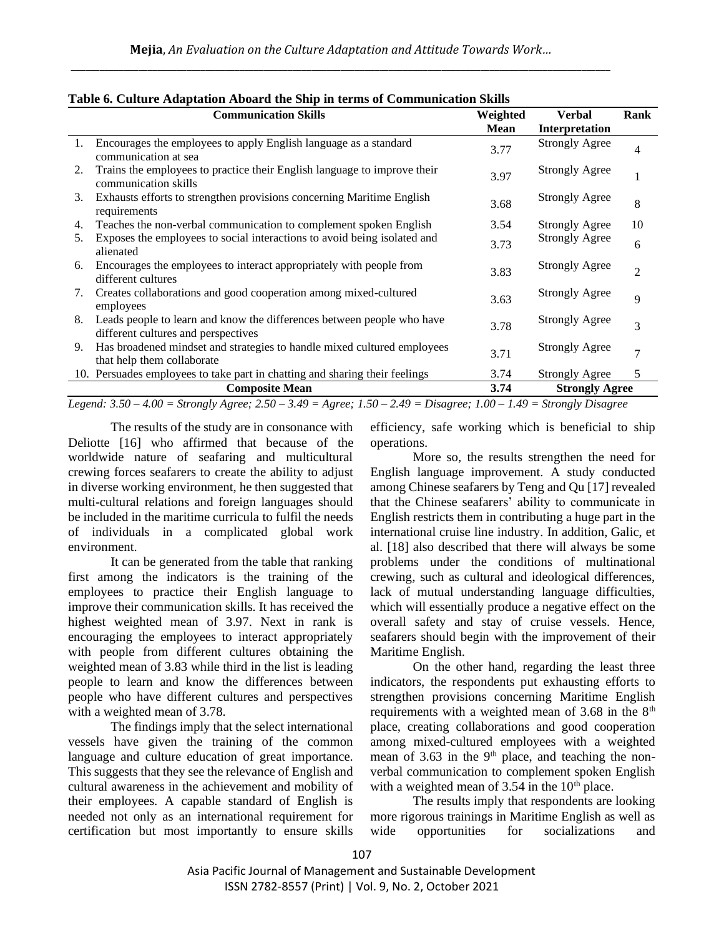| Rank                  |
|-----------------------|
| 4                     |
|                       |
| 8                     |
| 10                    |
| 6                     |
| $\overline{2}$        |
| 9                     |
| 3                     |
| 7                     |
| 5                     |
| <b>Strongly Agree</b> |
|                       |

|  |  |  |  |  |  | Table 6. Culture Adaptation Aboard the Ship in terms of Communication Skills |
|--|--|--|--|--|--|------------------------------------------------------------------------------|
|--|--|--|--|--|--|------------------------------------------------------------------------------|

*Legend: 3.50 – 4.00 = Strongly Agree; 2.50 – 3.49 = Agree; 1.50 – 2.49 = Disagree; 1.00 – 1.49 = Strongly Disagree*

The results of the study are in consonance with Deliotte [16] who affirmed that because of the worldwide nature of seafaring and multicultural crewing forces seafarers to create the ability to adjust in diverse working environment, he then suggested that multi-cultural relations and foreign languages should be included in the maritime curricula to fulfil the needs of individuals in a complicated global work environment.

It can be generated from the table that ranking first among the indicators is the training of the employees to practice their English language to improve their communication skills. It has received the highest weighted mean of 3.97. Next in rank is encouraging the employees to interact appropriately with people from different cultures obtaining the weighted mean of 3.83 while third in the list is leading people to learn and know the differences between people who have different cultures and perspectives with a weighted mean of 3.78.

The findings imply that the select international vessels have given the training of the common language and culture education of great importance. This suggests that they see the relevance of English and cultural awareness in the achievement and mobility of their employees. A capable standard of English is needed not only as an international requirement for certification but most importantly to ensure skills efficiency, safe working which is beneficial to ship operations.

More so, the results strengthen the need for English language improvement. A study conducted among Chinese seafarers by Teng and Qu [17] revealed that the Chinese seafarers' ability to communicate in English restricts them in contributing a huge part in the international cruise line industry. In addition, Galic, et al. [18] also described that there will always be some problems under the conditions of multinational crewing, such as cultural and ideological differences, lack of mutual understanding language difficulties, which will essentially produce a negative effect on the overall safety and stay of cruise vessels. Hence, seafarers should begin with the improvement of their Maritime English.

On the other hand, regarding the least three indicators, the respondents put exhausting efforts to strengthen provisions concerning Maritime English requirements with a weighted mean of  $3.68$  in the  $8<sup>th</sup>$ place, creating collaborations and good cooperation among mixed-cultured employees with a weighted mean of  $3.63$  in the  $9<sup>th</sup>$  place, and teaching the nonverbal communication to complement spoken English with a weighted mean of  $3.54$  in the  $10<sup>th</sup>$  place.

The results imply that respondents are looking more rigorous trainings in Maritime English as well as wide opportunities for socializations and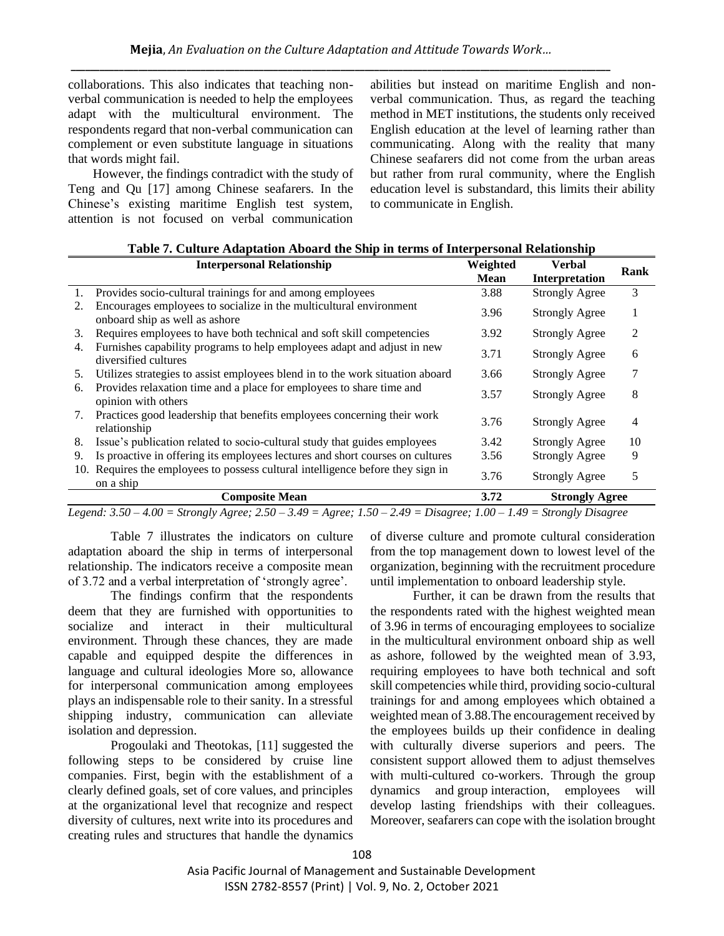collaborations. This also indicates that teaching nonverbal communication is needed to help the employees adapt with the multicultural environment. The respondents regard that non-verbal communication can complement or even substitute language in situations that words might fail.

However, the findings contradict with the study of Teng and Qu [17] among Chinese seafarers. In the Chinese's existing maritime English test system, attention is not focused on verbal communication abilities but instead on maritime English and nonverbal communication. Thus, as regard the teaching method in MET institutions, the students only received English education at the level of learning rather than communicating. Along with the reality that many Chinese seafarers did not come from the urban areas but rather from rural community, where the English education level is substandard, this limits their ability to communicate in English.

|    | <b>Interpersonal Relationship</b>                                                                    | Weighted    | <b>Verbal</b>         | Rank |
|----|------------------------------------------------------------------------------------------------------|-------------|-----------------------|------|
|    |                                                                                                      | <b>Mean</b> | Interpretation        |      |
| 1. | Provides socio-cultural trainings for and among employees                                            | 3.88        | <b>Strongly Agree</b> | 3    |
| 2. | Encourages employees to socialize in the multicultural environment<br>onboard ship as well as ashore | 3.96        | <b>Strongly Agree</b> | 1    |
| 3. | Requires employees to have both technical and soft skill competencies                                | 3.92        | <b>Strongly Agree</b> | 2    |
| 4. | Furnishes capability programs to help employees adapt and adjust in new<br>diversified cultures      | 3.71        | <b>Strongly Agree</b> | 6    |
| 5. | Utilizes strategies to assist employees blend in to the work situation aboard                        | 3.66        | <b>Strongly Agree</b> | 7    |
| 6. | Provides relaxation time and a place for employees to share time and<br>opinion with others          | 3.57        | <b>Strongly Agree</b> | 8    |
| 7. | Practices good leadership that benefits employees concerning their work<br>relationship              | 3.76        | <b>Strongly Agree</b> | 4    |
| 8. | Issue's publication related to socio-cultural study that guides employees                            | 3.42        | <b>Strongly Agree</b> | 10   |
| 9. | Is proactive in offering its employees lectures and short courses on cultures                        | 3.56        | <b>Strongly Agree</b> | 9    |
|    | 10. Requires the employees to possess cultural intelligence before they sign in<br>on a ship         | 3.76        | <b>Strongly Agree</b> | 5    |
|    | <b>Composite Mean</b>                                                                                | 3.72        | <b>Strongly Agree</b> |      |

*Legend: 3.50 – 4.00 = Strongly Agree; 2.50 – 3.49 = Agree; 1.50 – 2.49 = Disagree; 1.00 – 1.49 = Strongly Disagree*

Table 7 illustrates the indicators on culture adaptation aboard the ship in terms of interpersonal relationship. The indicators receive a composite mean of 3.72 and a verbal interpretation of 'strongly agree'.

The findings confirm that the respondents deem that they are furnished with opportunities to socialize and interact in their multicultural environment. Through these chances, they are made capable and equipped despite the differences in language and cultural ideologies More so, allowance for interpersonal communication among employees plays an indispensable role to their sanity. In a stressful shipping industry, communication can alleviate isolation and depression.

Progoulaki and Theotokas, [11] suggested the following steps to be considered by cruise line companies. First, begin with the establishment of a clearly defined goals, set of core values, and principles at the organizational level that recognize and respect diversity of cultures, next write into its procedures and creating rules and structures that handle the dynamics of diverse culture and promote cultural consideration from the top management down to lowest level of the organization, beginning with the recruitment procedure until implementation to onboard leadership style.

Further, it can be drawn from the results that the respondents rated with the highest weighted mean of 3.96 in terms of encouraging employees to socialize in the multicultural environment onboard ship as well as ashore, followed by the weighted mean of 3.93, requiring employees to have both technical and soft skill competencies while third, providing socio-cultural trainings for and among employees which obtained a weighted mean of 3.88.The encouragement received by the employees builds up their confidence in dealing with culturally diverse superiors and peers. The consistent support allowed them to adjust themselves with multi-cultured co-workers. Through the group dynamics and group interaction, employees will develop lasting friendships with their colleagues. Moreover, seafarers can cope with the isolation brought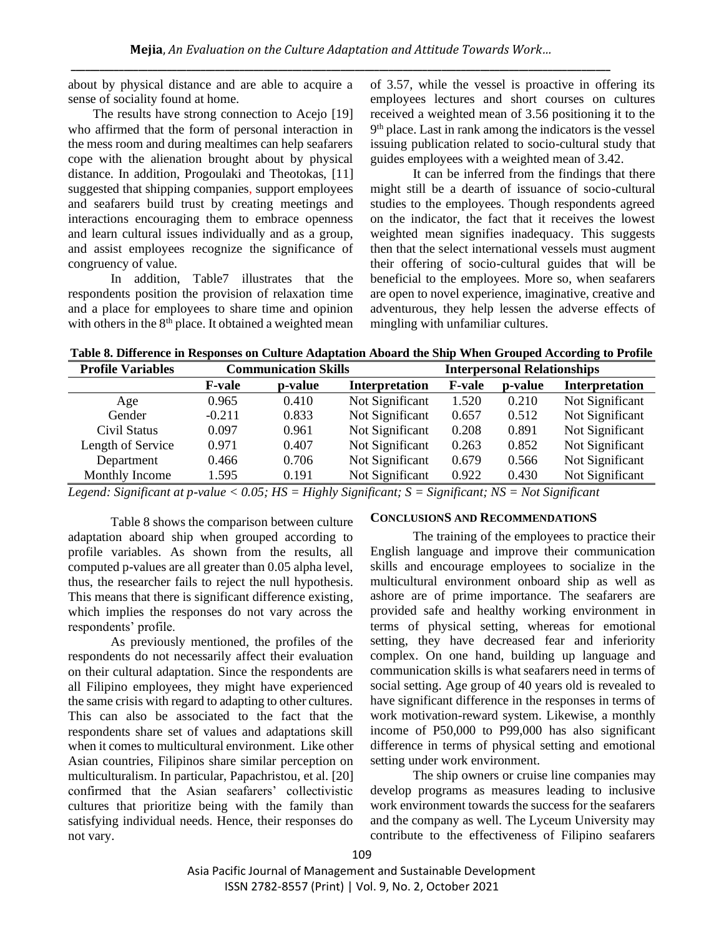about by physical distance and are able to acquire a sense of sociality found at home.

The results have strong connection to Acejo [19] who affirmed that the form of personal interaction in the mess room and during mealtimes can help seafarers cope with the alienation brought about by physical distance. In addition, Progoulaki and Theotokas, [11] suggested that shipping companies, support employees and seafarers build trust by creating meetings and interactions encouraging them to embrace openness and learn cultural issues individually and as a group, and assist employees recognize the significance of congruency of value.

In addition, Table7 illustrates that the respondents position the provision of relaxation time and a place for employees to share time and opinion with others in the 8<sup>th</sup> place. It obtained a weighted mean of 3.57, while the vessel is proactive in offering its employees lectures and short courses on cultures received a weighted mean of 3.56 positioning it to the 9 th place. Last in rank among the indicators is the vessel issuing publication related to socio-cultural study that guides employees with a weighted mean of 3.42.

It can be inferred from the findings that there might still be a dearth of issuance of socio-cultural studies to the employees. Though respondents agreed on the indicator, the fact that it receives the lowest weighted mean signifies inadequacy. This suggests then that the select international vessels must augment their offering of socio-cultural guides that will be beneficial to the employees. More so, when seafarers are open to novel experience, imaginative, creative and adventurous, they help lessen the adverse effects of mingling with unfamiliar cultures.

**Table 8. Difference in Responses on Culture Adaptation Aboard the Ship When Grouped According to Profile** 

| <b>Profile Variables</b> |               | <b>Communication Skills</b> |                 |               | <b>Interpersonal Relationships</b> |                       |
|--------------------------|---------------|-----------------------------|-----------------|---------------|------------------------------------|-----------------------|
|                          | <b>F-vale</b> | p-value                     | Interpretation  | <b>F-vale</b> | p-value                            | <b>Interpretation</b> |
| Age                      | 0.965         | 0.410                       | Not Significant | 1.520         | 0.210                              | Not Significant       |
| Gender                   | $-0.211$      | 0.833                       | Not Significant | 0.657         | 0.512                              | Not Significant       |
| Civil Status             | 0.097         | 0.961                       | Not Significant | 0.208         | 0.891                              | Not Significant       |
| Length of Service        | 0.971         | 0.407                       | Not Significant | 0.263         | 0.852                              | Not Significant       |
| Department               | 0.466         | 0.706                       | Not Significant | 0.679         | 0.566                              | Not Significant       |
| Monthly Income           | 1.595         | 0.191                       | Not Significant | 0.922         | 0.430                              | Not Significant       |

*Legend: Significant at p-value < 0.05; HS = Highly Significant; S = Significant; NS = Not Significant*

Table 8 shows the comparison between culture adaptation aboard ship when grouped according to profile variables. As shown from the results, all computed p-values are all greater than 0.05 alpha level, thus, the researcher fails to reject the null hypothesis. This means that there is significant difference existing, which implies the responses do not vary across the respondents' profile.

As previously mentioned, the profiles of the respondents do not necessarily affect their evaluation on their cultural adaptation. Since the respondents are all Filipino employees, they might have experienced the same crisis with regard to adapting to other cultures. This can also be associated to the fact that the respondents share set of values and adaptations skill when it comes to multicultural environment. Like other Asian countries, Filipinos share similar perception on multiculturalism. In particular, Papachristou, et al. [20] confirmed that the Asian seafarers' collectivistic cultures that prioritize being with the family than satisfying individual needs. Hence, their responses do not vary.

## **CONCLUSIONS AND RECOMMENDATIONS**

The training of the employees to practice their English language and improve their communication skills and encourage employees to socialize in the multicultural environment onboard ship as well as ashore are of prime importance. The seafarers are provided safe and healthy working environment in terms of physical setting, whereas for emotional setting, they have decreased fear and inferiority complex. On one hand, building up language and communication skills is what seafarers need in terms of social setting. Age group of 40 years old is revealed to have significant difference in the responses in terms of work motivation-reward system. Likewise, a monthly income of P50,000 to P99,000 has also significant difference in terms of physical setting and emotional setting under work environment.

The ship owners or cruise line companies may develop programs as measures leading to inclusive work environment towards the success for the seafarers and the company as well. The Lyceum University may contribute to the effectiveness of Filipino seafarers